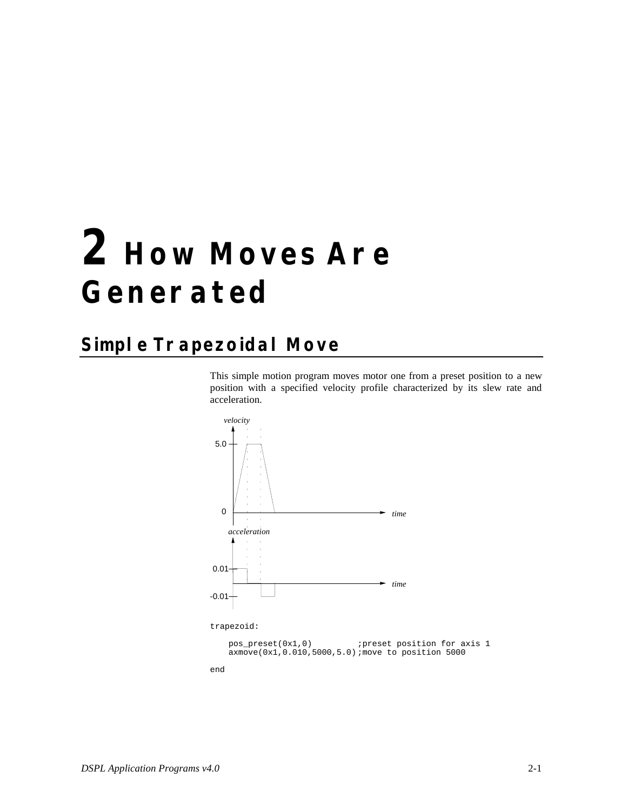#### **Simple Trapezoidal Move**

This simple motion program moves motor one from a preset position to a new position with a specified velocity profile characterized by its slew rate and acceleration.



pos\_preset(0x1,0) (preset position for axis 1 axmove(0x1,0.010,5000,5.0) ;move to position 5000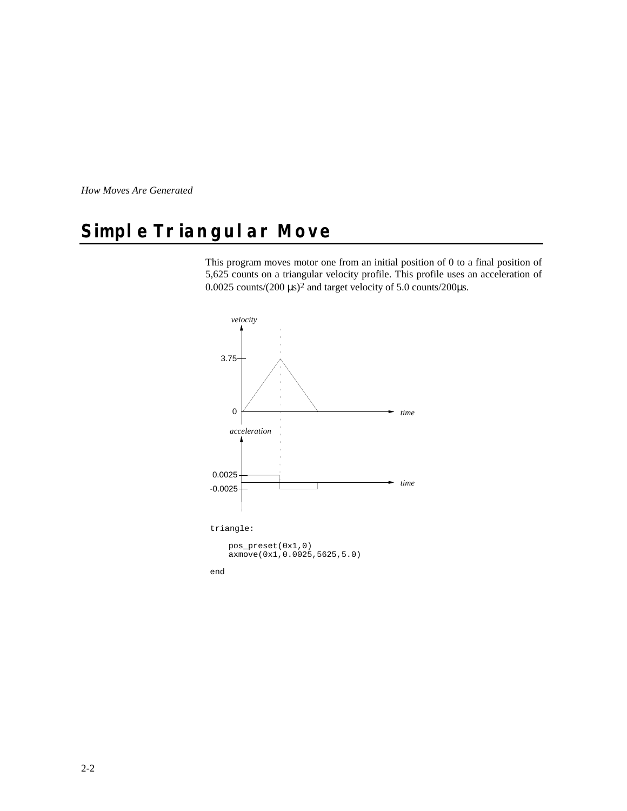## **Simple Triangular Move**

This program moves motor one from an initial position of 0 to a final position of 5,625 counts on a triangular velocity profile. This profile uses an acceleration of 0.0025 counts/(200 µs)2 and target velocity of 5.0 counts/200µs.

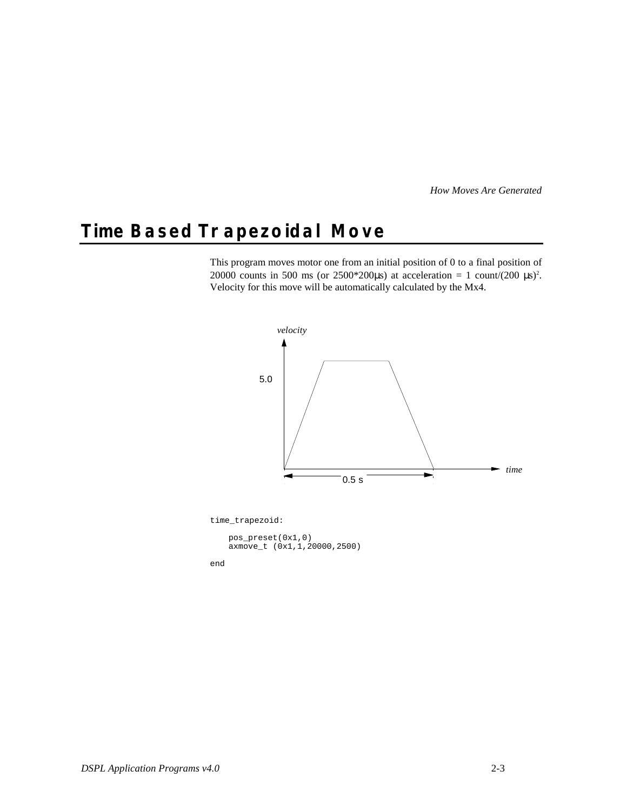#### **Time Based Trapezoidal Move**

This program moves motor one from an initial position of 0 to a final position of 20000 counts in 500 ms (or 2500\*200 $\mu$ s) at acceleration = 1 count/(200  $\mu$ s)<sup>2</sup>. Velocity for this move will be automatically calculated by the Mx4.

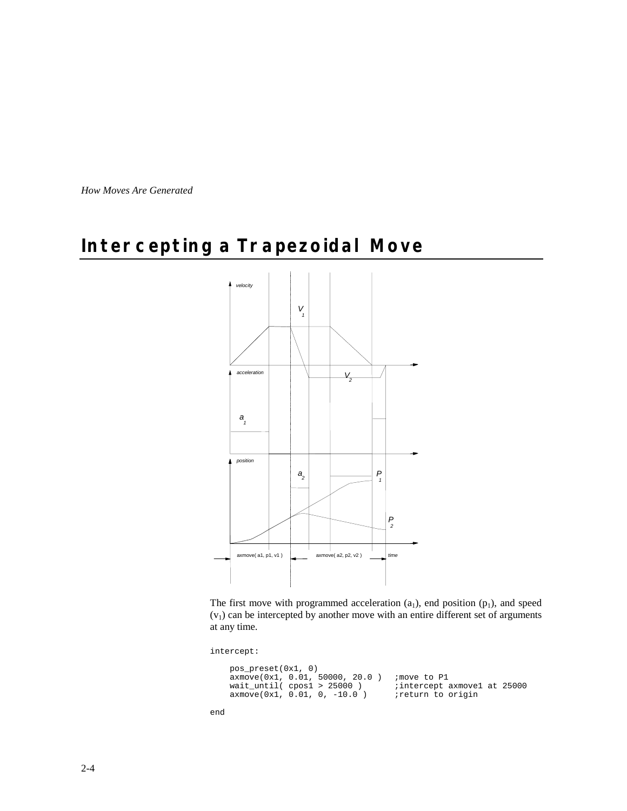#### **Intercepting a Trapezoidal Move**



The first move with programmed acceleration  $(a_1)$ , end position  $(p_1)$ , and speed  $(v<sub>1</sub>)$  can be intercepted by another move with an entire different set of arguments at any time.

intercept:

```
 pos_preset(0x1, 0)
 axmove(0x1, 0.01, 50000, 20.0 ) ;move to P1
 wait_until( cpos1 > 25000 ) ;intercept axmove1 at 25000
 axmove(0x1, 0.01, 0, -10.0 ) ;return to origin
```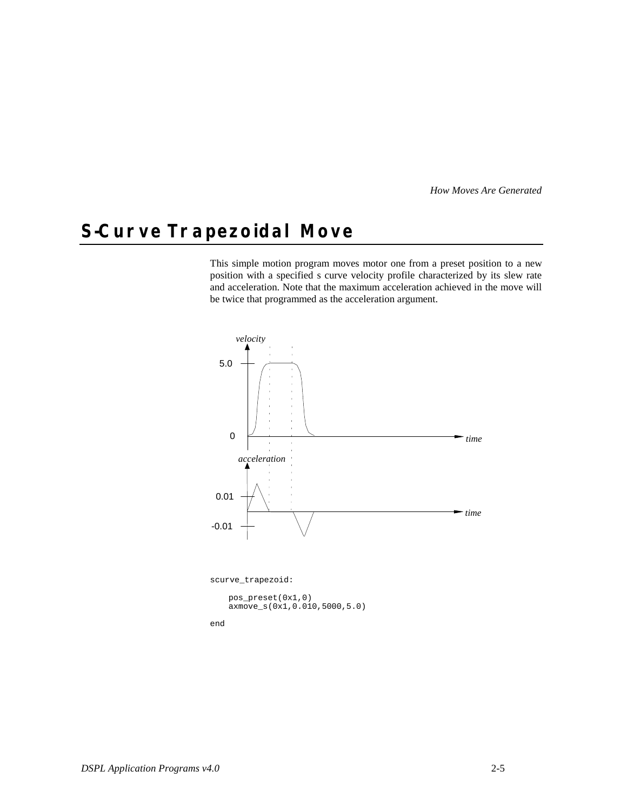## **S-Curve Trapezoidal Move**

This simple motion program moves motor one from a preset position to a new position with a specified s curve velocity profile characterized by its slew rate and acceleration. Note that the maximum acceleration achieved in the move will be twice that programmed as the acceleration argument.



scurve\_trapezoid:

pos\_preset(0x1,0) axmove\_s(0x1,0.010,5000,5.0)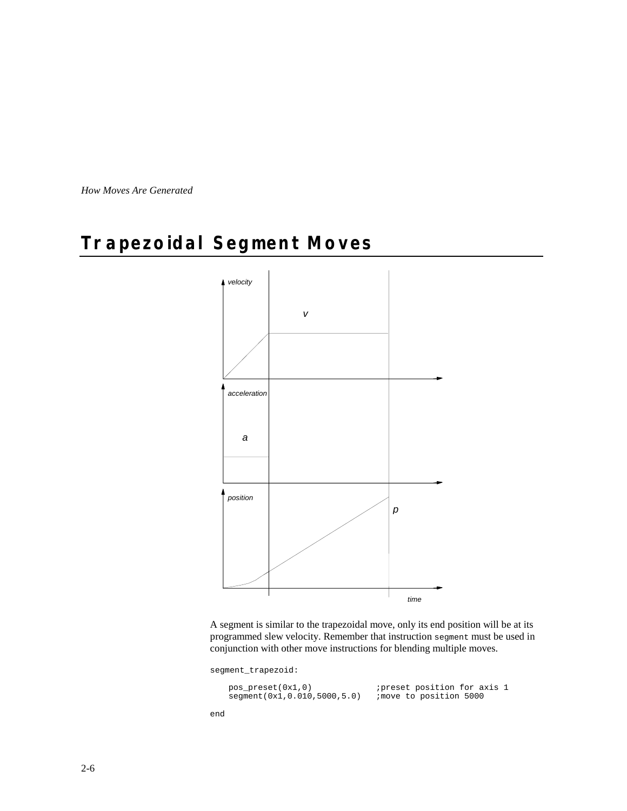#### **Trapezoidal Segment Moves**



A segment is similar to the trapezoidal move, only its end position will be at its programmed slew velocity. Remember that instruction segment must be used in conjunction with other move instructions for blending multiple moves.

segment\_trapezoid:

| $pos\_present(0x1,0)$       | ipreset position for axis 1 |
|-----------------------------|-----------------------------|
| segment(0x1,0.010,5000,5.0) | imove to position 5000      |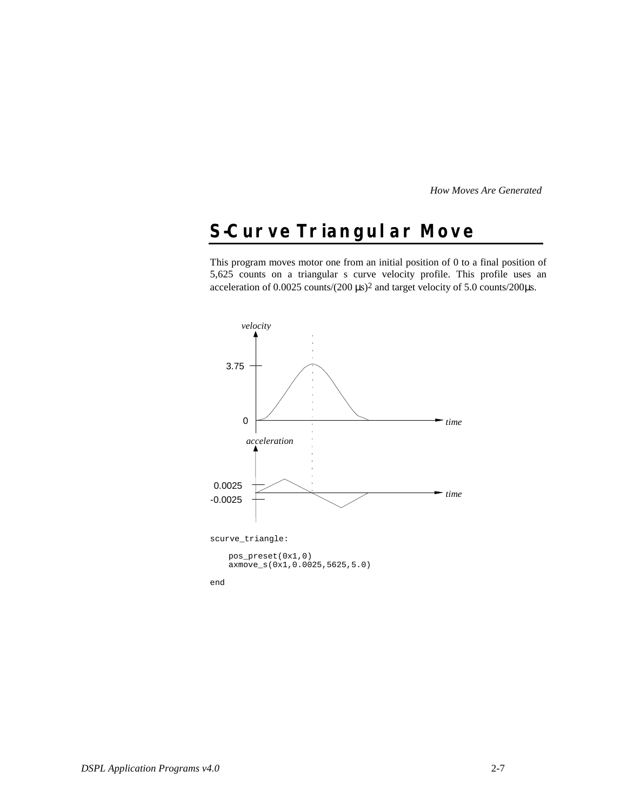## **S-Curve Triangular Move**

This program moves motor one from an initial position of 0 to a final position of 5,625 counts on a triangular s curve velocity profile. This profile uses an acceleration of 0.0025 counts/(200  $\mu$ s)<sup>2</sup> and target velocity of 5.0 counts/200 $\mu$ s.



pos\_preset(0x1,0) axmove\_s(0x1,0.0025,5625,5.0)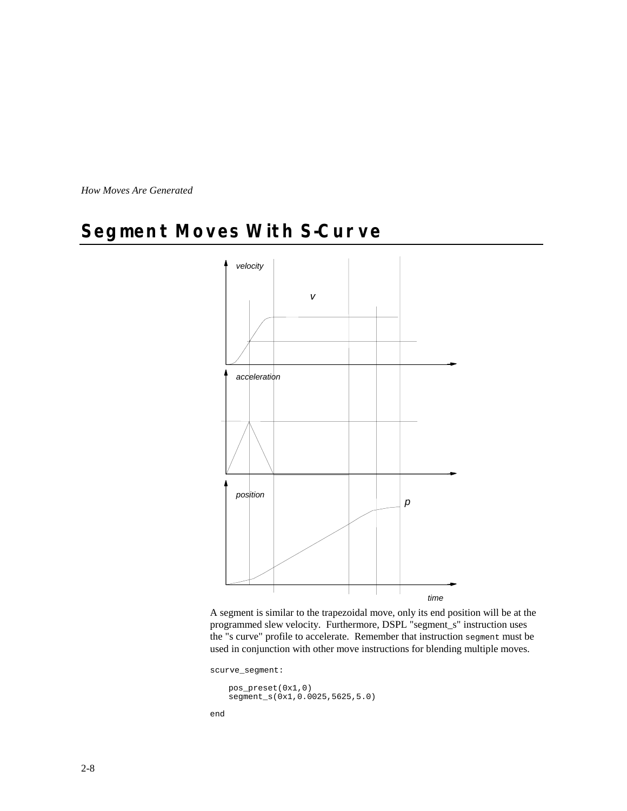## **Segment Moves With S-Curve**



A segment is similar to the trapezoidal move, only its end position will be at the programmed slew velocity. Furthermore, DSPL "segment\_s" instruction uses the "s curve" profile to accelerate. Remember that instruction segment must be used in conjunction with other move instructions for blending multiple moves.

scurve\_segment:

pos\_preset(0x1,0) segment\_s(0x1,0.0025,5625,5.0)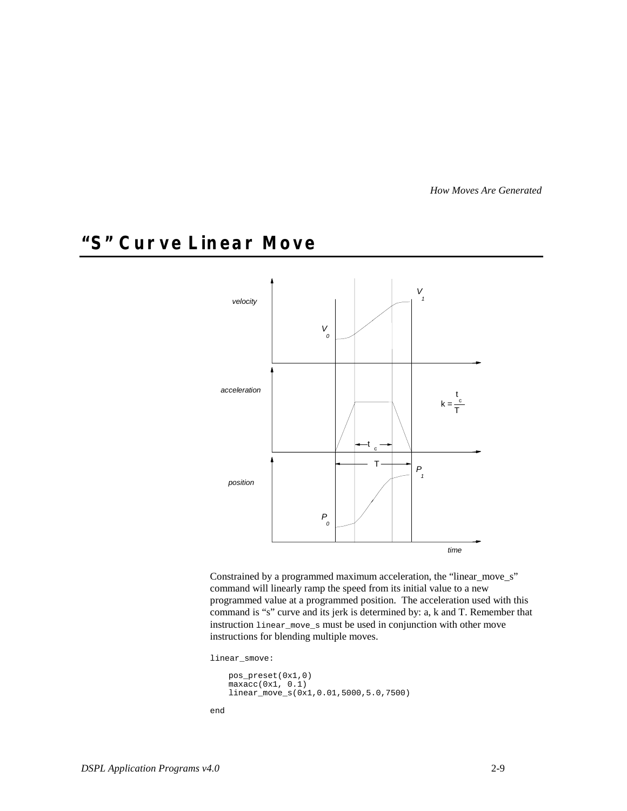## **"S" Curve Linear Move**



Constrained by a programmed maximum acceleration, the "linear\_move\_s" command will linearly ramp the speed from its initial value to a new programmed value at a programmed position. The acceleration used with this command is "s" curve and its jerk is determined by: a, k and T. Remember that instruction linear\_move\_s must be used in conjunction with other move instructions for blending multiple moves.

linear\_smove:

```
pos_preset(0x1,0)
maxacc(0x1, 0.1)linear_move_s(0x1,0.01,5000,5.0,7500)
```

```
end
```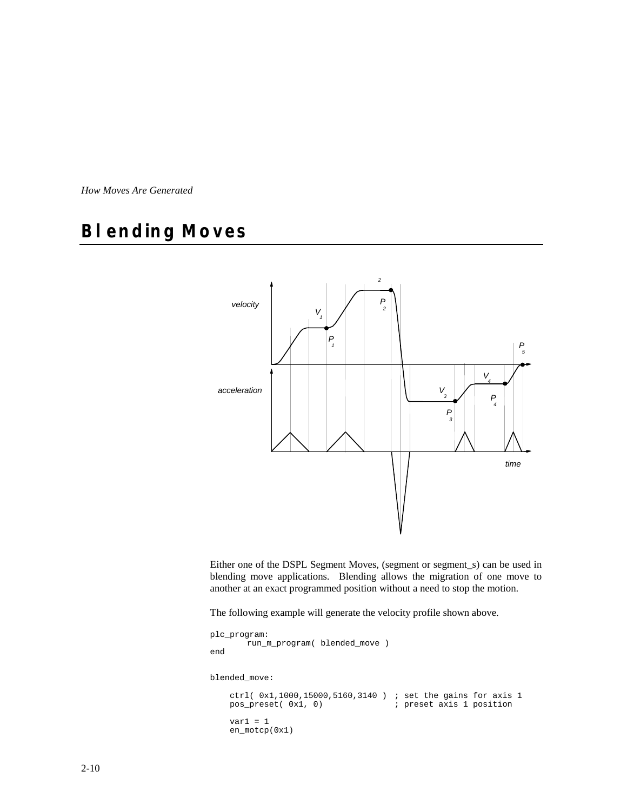## **Blending Moves**



Either one of the DSPL Segment Moves, (segment or segment\_s) can be used in blending move applications. Blending allows the migration of one move to another at an exact programmed position without a need to stop the motion.

The following example will generate the velocity profile shown above.

```
plc_program:
      run_m_program( blended_move )
end
blended_move:
 ctrl( 0x1,1000,15000,5160,3140 ) ; set the gains for axis 1
 pos_preset( 0x1, 0) ; preset axis 1 position
    var1 = 1
    en_motcp(0x1)
```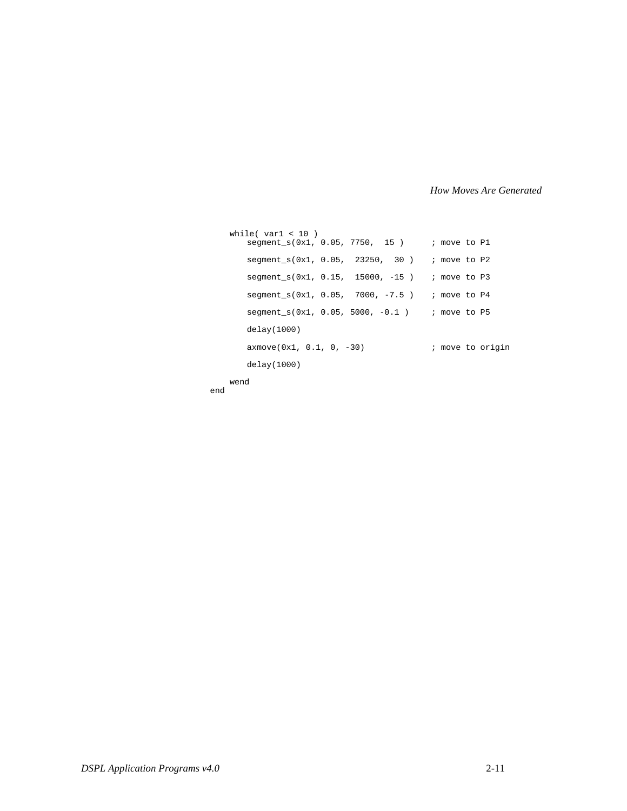```
 while( var1 < 10 )
      segment_s(0x1, 0.05, 7750, 15) ; move to P1
      segment_s(0x1, 0.05, 23250, 30) ; move to P2
      segment_s(0x1, 0.15, 15000, -15) ; move to P3
      segment_s(0x1, 0.05, 7000, -7.5) ; move to P4
      segment_s(0x1, 0.05, 5000, -0.1 ) ; move to P5
      delay(1000)
      axmove(0x1, 0.1, 0, -30) ; move to origin
      delay(1000)
```
 wend end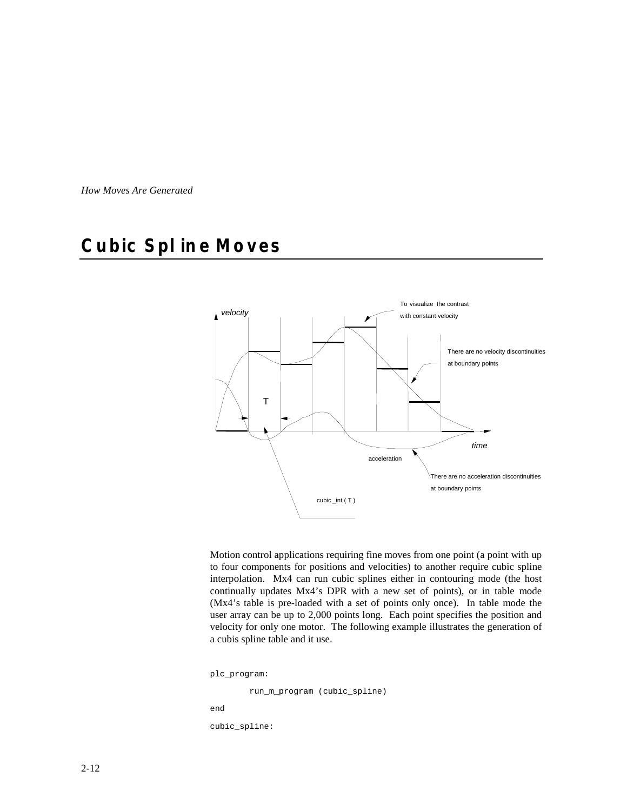## **Cubic Spline Moves**



Motion control applications requiring fine moves from one point (a point with up to four components for positions and velocities) to another require cubic spline interpolation. Mx4 can run cubic splines either in contouring mode (the host continually updates Mx4's DPR with a new set of points), or in table mode (Mx4's table is pre-loaded with a set of points only once). In table mode the user array can be up to 2,000 points long. Each point specifies the position and velocity for only one motor. The following example illustrates the generation of a cubis spline table and it use.

```
plc_program:
```
 run\_m\_program (cubic\_spline) end

cubic\_spline: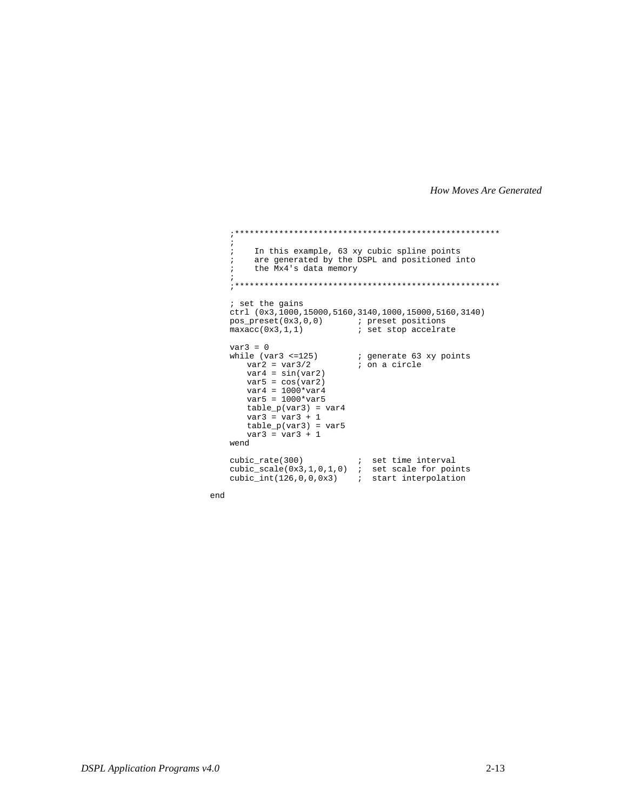```
 ;******************************************************
    ;
 ; In this example, 63 xy cubic spline points
 ; are generated by the DSPL and positioned into
 ; the Mx4's data memory
\mathcal{L} ;******************************************************
 ; set the gains
 ctrl (0x3,1000,15000,5160,3140,1000,15000,5160,3140)
 pos_preset(0x3,0,0) ; preset positions
maxacc(0x3,1,1) ; set stop accelrate
   var3 = 0<br>while (var3 <=125)
      \text{Re}(var3 \leq 125) ; generate 63 xy points<br>var2 = var3/2 ; on a circle
                           ; on a circle
      var4 = sin(var2)var5 = cos(var2)
       var4 = 1000*var4
      var5 = 1000*var5
       table_p(var3) = var4
       var3 = var3 + 1
      table_p(var3) = var5
      var3 = var3 + 1
    wend
 cubic_rate(300) ; set time interval
 cubic_scale(0x3,1,0,1,0) ; set scale for points
 cubic_int(126,0,0,0x3) ; start interpolation
```